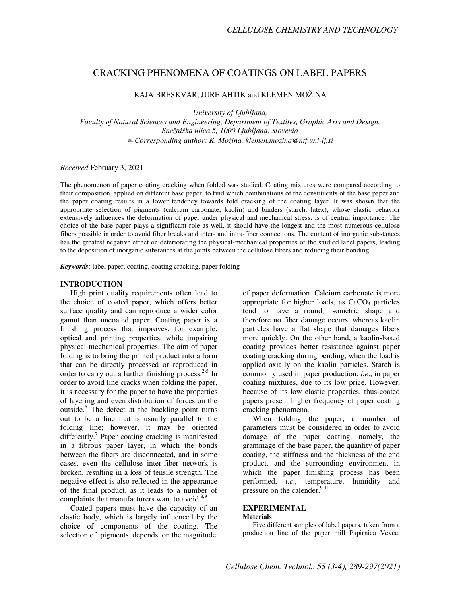## CRACKING PHENOMENA OF COATINGS ON LABEL PAPERS

KAJA BRESKVAR, JURE AHTIK and KLEMEN MOŽINA

*University of Ljubljana,* 

*Faculty of Natural Sciences and Engineering, Department of Textiles, Graphic Arts and Design, Snežniška ulica 5, 1000 Ljubljana, Slovenia*  ✉*Corresponding author: K. Možina, klemen.mozina@ntf.uni-lj.si* 

*Received* February 3, 2021

The phenomenon of paper coating cracking when folded was studied. Coating mixtures were compared according to their composition, applied on different base paper, to find which combinations of the constituents of the base paper and the paper coating results in a lower tendency towards fold cracking of the coating layer. It was shown that the appropriate selection of pigments (calcium carbonate, kaolin) and binders (starch, latex), whose elastic behavior extensively influences the deformation of paper under physical and mechanical stress, is of central importance. The choice of the base paper plays a significant role as well, it should have the longest and the most numerous cellulose fibers possible in order to avoid fiber breaks and inter- and intra-fiber connections. The content of inorganic substances has the greatest negative effect on deteriorating the physical-mechanical properties of the studied label papers, leading to the deposition of inorganic substances at the joints between the cellulose fibers and reducing their bonding.<sup>1</sup>

*Keywords*: label paper, coating, coating cracking, paper folding

#### **INTRODUCTION**

High print quality requirements often lead to the choice of coated paper, which offers better surface quality and can reproduce a wider color gamut than uncoated paper. Coating paper is a finishing process that improves, for example, optical and printing properties, while impairing physical-mechanical properties. The aim of paper folding is to bring the printed product into a form that can be directly processed or reproduced in order to carry out a further finishing process. $2-5$  In order to avoid line cracks when folding the paper, it is necessary for the paper to have the properties of layering and even distribution of forces on the outside.<sup>6</sup> The defect at the buckling point turns out to be a line that is usually parallel to the folding line; however, it may be oriented differently.<sup>7</sup> Paper coating cracking is manifested in a fibrous paper layer, in which the bonds between the fibers are disconnected, and in some cases, even the cellulose inter-fiber network is broken, resulting in a loss of tensile strength. The negative effect is also reflected in the appearance of the final product, as it leads to a number of complaints that manufacturers want to avoid.<sup>8,9</sup>

Coated papers must have the capacity of an elastic body, which is largely influenced by the choice of components of the coating. The selection of pigments depends on the magnitude

of paper deformation. Calcium carbonate is more appropriate for higher loads, as  $CaCO<sub>3</sub>$  particles tend to have a round, isometric shape and therefore no fiber damage occurs, whereas kaolin particles have a flat shape that damages fibers more quickly. On the other hand, a kaolin-based coating provides better resistance against paper coating cracking during bending, when the load is applied axially on the kaolin particles. Starch is commonly used in paper production, *i.e*., in paper coating mixtures, due to its low price. However, because of its low elastic properties, thus-coated papers present higher frequency of paper coating cracking phenomena.

When folding the paper, a number of parameters must be considered in order to avoid damage of the paper coating, namely, the grammage of the base paper, the quantity of paper coating, the stiffness and the thickness of the end product, and the surrounding environment in which the paper finishing process has been performed, *i.e*., temperature, humidity and pressure on the calender.<sup>9-11</sup>

## **EXPERIMENTAL**

## **Materials**

Five different samples of label papers, taken from a production line of the paper mill Papirnica Vevče,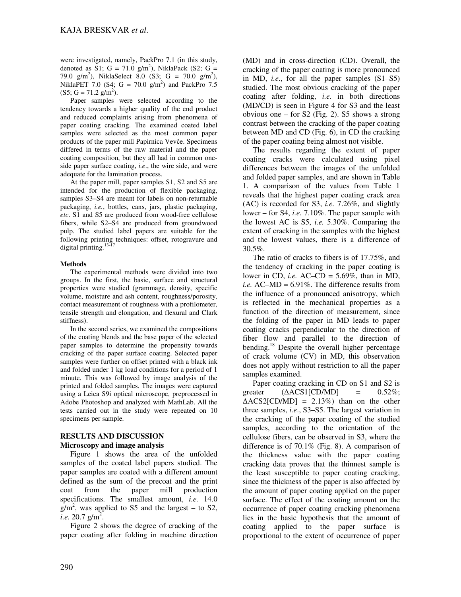were investigated, namely, PackPro 7.1 (in this study, denoted as S1; G = 71.0  $g/m^2$ ), NiklaPack (S2; G = 79.0  $g/m^2$ ), NiklaSelect 8.0 (S3; G = 70.0  $g/m^2$ ), NiklaPET 7.0 (S4;  $G = 70.0$  g/m<sup>2</sup>) and PackPro 7.5  $(S5; G = 71.2 \text{ g/m}^2)$ .

Paper samples were selected according to the tendency towards a higher quality of the end product and reduced complaints arising from phenomena of paper coating cracking. The examined coated label samples were selected as the most common paper products of the paper mill Papirnica Vevče. Specimens differed in terms of the raw material and the paper coating composition, but they all had in common oneside paper surface coating, *i.e*., the wire side, and were adequate for the lamination process.

At the paper mill, paper samples S1, S2 and S5 are intended for the production of flexible packaging, samples S3–S4 are meant for labels on non-returnable packaging, *i.e.*, bottles, cans, jars, plastic packaging, *etc*. S1 and S5 are produced from wood-free cellulose fibers, while S2–S4 are produced from groundwood pulp. The studied label papers are suitable for the following printing techniques: offset, rotogravure and digital printing.<sup>13-17</sup>

#### **Methods**

The experimental methods were divided into two groups. In the first, the basic, surface and structural properties were studied (grammage, density, specific volume, moisture and ash content, roughness/porosity, contact measurement of roughness with a profilometer, tensile strength and elongation, and flexural and Clark stiffness).

In the second series, we examined the compositions of the coating blends and the base paper of the selected paper samples to determine the propensity towards cracking of the paper surface coating. Selected paper samples were further on offset printed with a black ink and folded under 1 kg load conditions for a period of 1 minute. This was followed by image analysis of the printed and folded samples. The images were captured using a Leica S9i optical microscope, preprocessed in Adobe Photoshop and analyzed with MathLab. All the tests carried out in the study were repeated on 10 specimens per sample.

# **RESULTS AND DISCUSSION**

## **Microscopy and image analysis**

Figure 1 shows the area of the unfolded samples of the coated label papers studied. The paper samples are coated with a different amount defined as the sum of the precoat and the print coat from the paper mill production specifications. The smallest amount, *i.e.* 14.0  $g/m^2$ , was applied to S5 and the largest – to S2,  $i.e. 20.7$  g/m<sup>2</sup>.

Figure 2 shows the degree of cracking of the paper coating after folding in machine direction

(MD) and in cross-direction (CD). Overall, the cracking of the paper coating is more pronounced in MD, *i.e*., for all the paper samples (S1–S5) studied. The most obvious cracking of the paper coating after folding, *i.e.* in both directions (MD/CD) is seen in Figure 4 for S3 and the least obvious one – for S2 (Fig. 2). S5 shows a strong contrast between the cracking of the paper coating between MD and CD (Fig. 6), in CD the cracking of the paper coating being almost not visible.

The results regarding the extent of paper coating cracks were calculated using pixel differences between the images of the unfolded and folded paper samples, and are shown in Table 1. A comparison of the values from Table 1 reveals that the highest paper coating crack area (AC) is recorded for S3, *i.e.* 7.26%, and slightly lower – for S4, *i.e.* 7.10%. The paper sample with the lowest AC is S5, *i.e.* 5.30%. Comparing the extent of cracking in the samples with the highest and the lowest values, there is a difference of 30.5%.

The ratio of cracks to fibers is of 17.75%, and the tendency of cracking in the paper coating is lower in CD, *i.e.* AC–CD = 5.69%, than in MD, *i.e.* AC–MD = 6.91%. The difference results from the influence of a pronounced anisotropy, which is reflected in the mechanical properties as a function of the direction of measurement, since the folding of the paper in MD leads to paper coating cracks perpendicular to the direction of fiber flow and parallel to the direction of bending.<sup>18</sup> Despite the overall higher percentage of crack volume (CV) in MD, this observation does not apply without restriction to all the paper samples examined.

Paper coating cracking in CD on S1 and S2 is greater  $(\triangle ACS1[CD/MD] = 0.52\%;$  $\triangle$ ACS2[CD/MD] = 2.13%) than on the other three samples, *i.e*., S3–S5. The largest variation in the cracking of the paper coating of the studied samples, according to the orientation of the cellulose fibers, can be observed in S3, where the difference is of 70.1% (Fig. 8). A comparison of the thickness value with the paper coating cracking data proves that the thinnest sample is the least susceptible to paper coating cracking, since the thickness of the paper is also affected by the amount of paper coating applied on the paper surface. The effect of the coating amount on the occurrence of paper coating cracking phenomena lies in the basic hypothesis that the amount of coating applied to the paper surface is proportional to the extent of occurrence of paper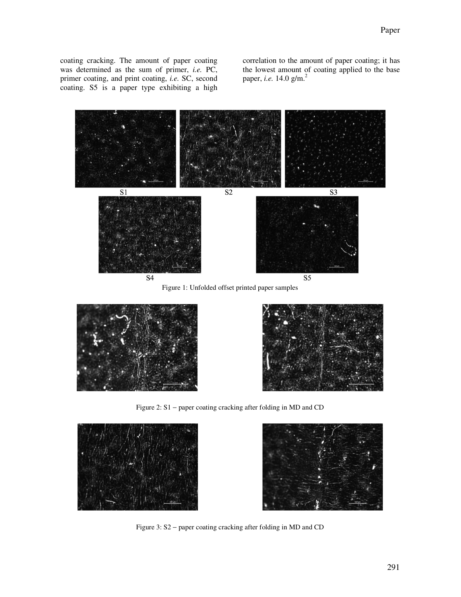coating cracking. The amount of paper coating was determined as the sum of primer, *i.e.* PC, primer coating, and print coating, *i.e.* SC, second coating. S5 is a paper type exhibiting a high

correlation to the amount of paper coating; it has the lowest amount of coating applied to the base paper, *i.e.* 14.0 g/m.<sup>2</sup>



Figure 1: Unfolded offset printed paper samples





Figure 2: S1 − paper coating cracking after folding in MD and CD





Figure 3: S2 − paper coating cracking after folding in MD and CD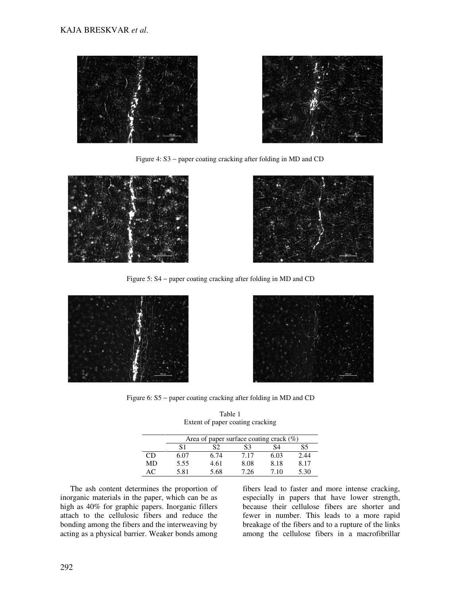

Figure 4: S3 − paper coating cracking after folding in MD and CD





Figure 5: S4 − paper coating cracking after folding in MD and CD





Figure 6: S5 − paper coating cracking after folding in MD and CD

|    |    | Extent of paper coating cracking           |    |    |
|----|----|--------------------------------------------|----|----|
|    |    | Area of paper surface coating crack $(\%)$ |    |    |
| S1 | 92 | 83                                         | ς4 | 55 |

Table 1

|     | it determines the proportion of |      |      | fibers lead to faster a |      |
|-----|---------------------------------|------|------|-------------------------|------|
| AC. | 5.81                            | 5.68 | 7.26 | 7.10                    | 5.30 |
| MD  | 5.55                            | 4.61 | 8.08 | 8.18                    | 8.17 |
| CD  | 6.07                            | 6.74 | 7.17 | 6.03                    | 2.44 |

The ash conten inorganic materials in the paper, which can be as high as 40% for graphic papers. Inorganic fillers attach to the cellulosic fibers and reduce the bonding among the fibers and the interweaving by acting as a physical barrier. Weaker bonds among

faster and more intense cracking, especially in papers that have lower strength, because their cellulose fibers are shorter and fewer in number. This leads to a more rapid breakage of the fibers and to a rupture of the links among the cellulose fibers in a macrofibrillar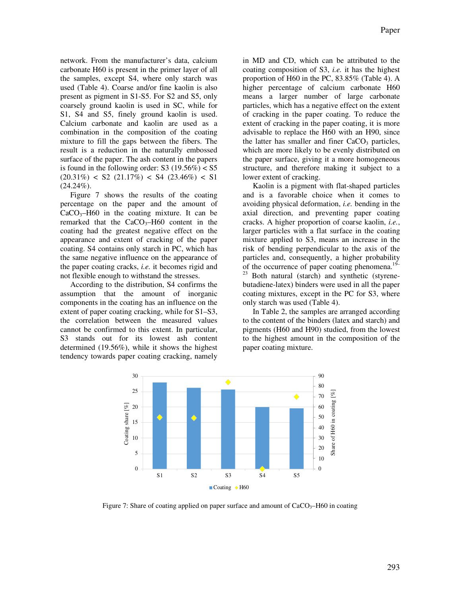network. From the manufacturer's data, calcium carbonate H60 is present in the primer layer of all the samples, except S4, where only starch was used (Table 4). Coarse and/or fine kaolin is also present as pigment in S1-S5. For S2 and S5, only coarsely ground kaolin is used in SC, while for S1, S4 and S5, finely ground kaolin is used. Calcium carbonate and kaolin are used as a combination in the composition of the coating mixture to fill the gaps between the fibers. The result is a reduction in the naturally embossed surface of the paper. The ash content in the papers is found in the following order:  $S3 (19.56\%) < S5$  $(20.31\%) <$  S2  $(21.17\%) <$  S4  $(23.46\%) <$  S1  $(24.24\%).$ 

Figure 7 shows the results of the coating percentage on the paper and the amount of  $CaCO<sub>3</sub>–H60$  in the coating mixture. It can be remarked that the  $CaCO<sub>3</sub>–H60$  content in the coating had the greatest negative effect on the appearance and extent of cracking of the paper coating. S4 contains only starch in PC, which has the same negative influence on the appearance of the paper coating cracks, *i.e.* it becomes rigid and not flexible enough to withstand the stresses.

According to the distribution, S4 confirms the assumption that the amount of inorganic components in the coating has an influence on the extent of paper coating cracking, while for S1–S3, the correlation between the measured values cannot be confirmed to this extent. In particular, S3 stands out for its lowest ash content determined (19.56%), while it shows the highest tendency towards paper coating cracking, namely

in MD and CD, which can be attributed to the coating composition of S3, *i.e.* it has the highest proportion of H60 in the PC, 83.85% (Table 4). A higher percentage of calcium carbonate H60 means a larger number of large carbonate particles, which has a negative effect on the extent of cracking in the paper coating. To reduce the extent of cracking in the paper coating, it is more advisable to replace the H60 with an H90, since the latter has smaller and finer  $CaCO<sub>3</sub>$  particles, which are more likely to be evenly distributed on the paper surface, giving it a more homogeneous structure, and therefore making it subject to a lower extent of cracking.

Kaolin is a pigment with flat-shaped particles and is a favorable choice when it comes to avoiding physical deformation, *i.e.* bending in the axial direction, and preventing paper coating cracks. A higher proportion of coarse kaolin, *i.e.*, larger particles with a flat surface in the coating mixture applied to S3, means an increase in the risk of bending perpendicular to the axis of the particles and, consequently, a higher probability of the occurrence of paper coating phenomena.<sup>19–</sup> <sup>23</sup> Both natural (starch) and synthetic (styrenebutadiene-latex) binders were used in all the paper coating mixtures, except in the PC for S3, where only starch was used (Table 4).

In Table 2, the samples are arranged according to the content of the binders (latex and starch) and pigments (H60 and H90) studied, from the lowest to the highest amount in the composition of the paper coating mixture.



Figure 7: Share of coating applied on paper surface and amount of  $CaCO<sub>3</sub>–H60$  in coating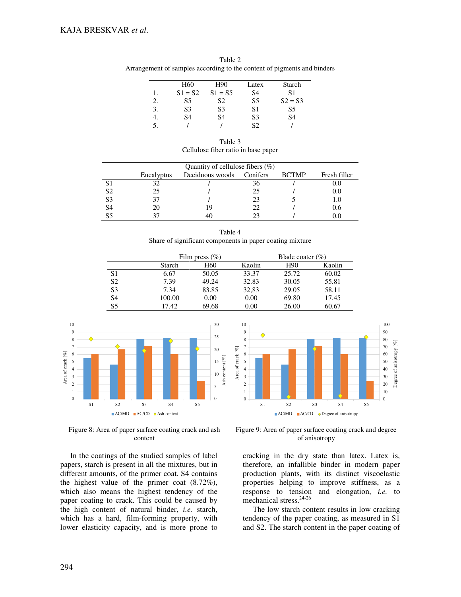|    | H60       | H90            | Latex        | Starch    |
|----|-----------|----------------|--------------|-----------|
|    | $S1 = S2$ | $S1 = S5$      | S4           | S1        |
| 2. | S5        | S2             | S5           | $S2 = S3$ |
| 3. | S3        | S <sub>3</sub> | S1           | S5        |
|    | S4        | S4             | S3           | S4        |
|    |           |                | $\mathbf{S}$ |           |

Table 2 Arrangement of samples according to the content of pigments and binders

| Table 3                             |  |
|-------------------------------------|--|
| Cellulose fiber ratio in base paper |  |

| Quantity of cellulose fibers $(\%)$ |            |                 |          |              |              |  |
|-------------------------------------|------------|-----------------|----------|--------------|--------------|--|
|                                     | Eucalyptus | Deciduous woods | Conifers | <b>BCTMP</b> | Fresh filler |  |
|                                     |            |                 | 36       |              | U.U          |  |
| S <sub>2</sub>                      | 25         |                 | 25       |              | 0.0          |  |
| S3                                  |            |                 | 23       |              | 1.0          |  |
| S4                                  | 20         |                 | 22       |              | 0.6          |  |
| S5                                  |            |                 |          |              |              |  |

| Table 4                                                  |  |
|----------------------------------------------------------|--|
| Share of significant components in paper coating mixture |  |

|                |        | Film press $(\% )$ |        | Blade coater $(\%)$ |        |  |
|----------------|--------|--------------------|--------|---------------------|--------|--|
|                | Starch | H60                | Kaolin | H <sub>90</sub>     | Kaolin |  |
| S <sub>1</sub> | 6.67   | 50.05              | 33.37  | 25.72               | 60.02  |  |
| S <sub>2</sub> | 7.39   | 49.24              | 32.83  | 30.05               | 55.81  |  |
| S <sub>3</sub> | 7.34   | 83.85              | 32,83  | 29.05               | 58.11  |  |
| S <sub>4</sub> | 100.00 | 0.00               | 0.00   | 69.80               | 17.45  |  |
| S <sub>5</sub> | 17.42  | 69.68              | 0.00   | 26.00               | 60.67  |  |



Figure 8: Area of paper surface coating crack and ash content

In the coatings of the studied samples of label papers, starch is present in all the mixtures, but in different amounts, of the primer coat. S4 contains the highest value of the primer coat (8.72%), which also means the highest tendency of the paper coating to crack. This could be caused by the high content of natural binder, *i.e.* starch, which has a hard, film-forming property, with lower elasticity capacity, and is more prone to



Figure 9: Area of paper surface coating crack and degree of anisotropy

cracking in the dry state than latex. Latex is, therefore, an infallible binder in modern paper production plants, with its distinct viscoelastic properties helping to improve stiffness, as a response to tension and elongation, *i.e.* to mechanical stress.<sup>24-26</sup>

The low starch content results in low cracking tendency of the paper coating, as measured in S1 and S2. The starch content in the paper coating of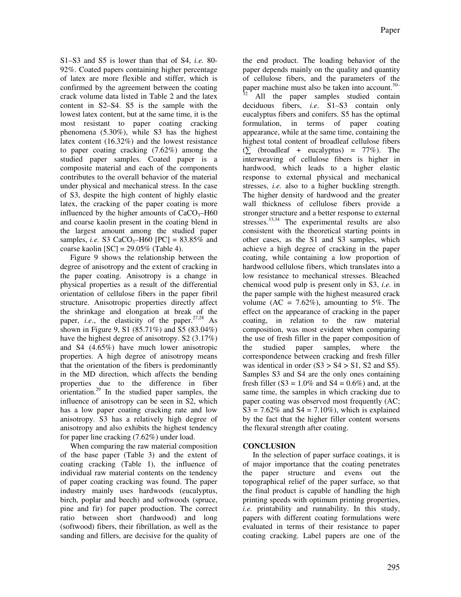S1–S3 and S5 is lower than that of S4, *i.e.* 80- 92%. Coated papers containing higher percentage of latex are more flexible and stiffer, which is confirmed by the agreement between the coating crack volume data listed in Table 2 and the latex content in S2–S4. S5 is the sample with the lowest latex content, but at the same time, it is the most resistant to paper coating cracking phenomena (5.30%), while S3 has the highest latex content (16.32%) and the lowest resistance to paper coating cracking (7.62%) among the studied paper samples. Coated paper is a composite material and each of the components contributes to the overall behavior of the material under physical and mechanical stress. In the case of S3, despite the high content of highly elastic latex, the cracking of the paper coating is more influenced by the higher amounts of  $CaCO<sub>3</sub>–H60$ and coarse kaolin present in the coating blend in the largest amount among the studied paper samples, *i.e.* S3 CaCO<sub>3</sub>–H60 [PC] = 83.85% and coarse kaolin  $[SC] = 29.05\%$  (Table 4).

Figure 9 shows the relationship between the degree of anisotropy and the extent of cracking in the paper coating. Anisotropy is a change in physical properties as a result of the differential orientation of cellulose fibers in the paper fibril structure. Anisotropic properties directly affect the shrinkage and elongation at break of the paper, *i.e.*, the elasticity of the paper.  $27.28$  As shown in Figure 9, S1 (85.71%) and S5 (83.04%) have the highest degree of anisotropy. S2 (3.17%) and S4 (4.65%) have much lower anisotropic properties. A high degree of anisotropy means that the orientation of the fibers is predominantly in the MD direction, which affects the bending properties due to the difference in fiber orientation.<sup>29</sup> In the studied paper samples, the influence of anisotropy can be seen in S2, which has a low paper coating cracking rate and low anisotropy. S3 has a relatively high degree of anisotropy and also exhibits the highest tendency for paper line cracking (7.62%) under load.

When comparing the raw material composition of the base paper (Table 3) and the extent of coating cracking (Table 1), the influence of individual raw material contents on the tendency of paper coating cracking was found. The paper industry mainly uses hardwoods (eucalyptus, birch, poplar and beech) and softwoods (spruce, pine and fir) for paper production. The correct ratio between short (hardwood) and long (softwood) fibers, their fibrillation, as well as the sanding and fillers, are decisive for the quality of the end product. The loading behavior of the paper depends mainly on the quality and quantity of cellulose fibers, and the parameters of the paper machine must also be taken into account.<sup>30–</sup> All the paper samples studied contain deciduous fibers, *i.e.* S1–S3 contain only eucalyptus fibers and conifers. S5 has the optimal formulation, in terms of paper coating appearance, while at the same time, containing the highest total content of broadleaf cellulose fibers  $(\sum$  (broadleaf + eucalyptus) = 77%). The interweaving of cellulose fibers is higher in hardwood, which leads to a higher elastic response to external physical and mechanical stresses, *i.e.* also to a higher buckling strength. The higher density of hardwood and the greater wall thickness of cellulose fibers provide a stronger structure and a better response to external stresses. $^{33,34}$  The experimental results are also consistent with the theoretical starting points in other cases, as the S1 and S3 samples, which achieve a high degree of cracking in the paper coating, while containing a low proportion of hardwood cellulose fibers, which translates into a low resistance to mechanical stresses. Bleached chemical wood pulp is present only in S3, *i.e.* in the paper sample with the highest measured crack volume (AC =  $7.62\%$ ), amounting to 5%. The effect on the appearance of cracking in the paper coating, in relation to the raw material composition, was most evident when comparing the use of fresh filler in the paper composition of the studied paper samples, where the correspondence between cracking and fresh filler was identical in order  $(S3 > S4 > S1, S2$  and S5). Samples S3 and S4 are the only ones containing fresh filler  $(S3 = 1.0\%$  and  $S4 = 0.6\%)$  and, at the same time, the samples in which cracking due to paper coating was observed most frequently (AC;  $S3 = 7.62\%$  and  $S4 = 7.10\%$ ), which is explained by the fact that the higher filler content worsens the flexural strength after coating.

### **CONCLUSION**

In the selection of paper surface coatings, it is of major importance that the coating penetrates the paper structure and evens out the topographical relief of the paper surface, so that the final product is capable of handling the high printing speeds with optimum printing properties, *i.e.* printability and runnability. In this study, papers with different coating formulations were evaluated in terms of their resistance to paper coating cracking. Label papers are one of the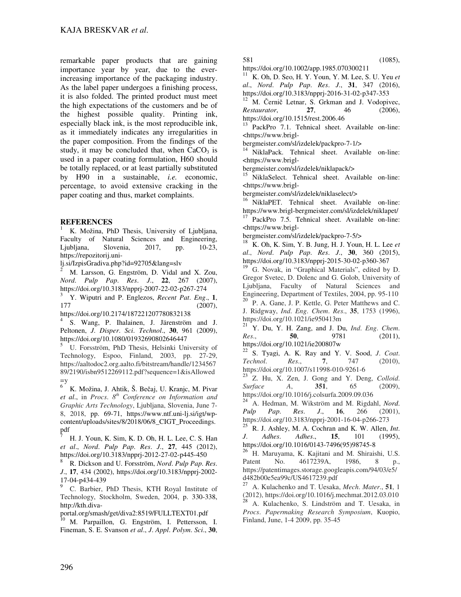remarkable paper products that are gaining importance year by year, due to the everincreasing importance of the packaging industry. As the label paper undergoes a finishing process, it is also folded. The printed product must meet the high expectations of the customers and be of the highest possible quality. Printing ink, especially black ink, is the most reproducible ink, as it immediately indicates any irregularities in the paper composition. From the findings of the study, it may be concluded that, when  $CaCO<sub>3</sub>$  is used in a paper coating formulation, H60 should be totally replaced, or at least partially substituted by H90 in a sustainable, *i.e.* economic, percentage, to avoid extensive cracking in the paper coating and thus, market complaints.

## **REFERENCES**

K. Možina, PhD Thesis, University of Ljubljana, Faculty of Natural Sciences and Engineering, Ljubljana, Slovenia, 2017, pp. 10-23, https://repozitorij.uni-

lj.si/IzpisGradiva.php?id=92705&lang=slv

<sup>2</sup> M. Larsson, G. Engström, D. Vidal and X. Zou, *Nord*. *Pulp Pap*. *Res*. *J*., **22**, 267 (2007), https://doi.org/10.3183/npprj-2007-22-02-p267-274

<sup>3</sup> Y. Wiputri and P. Englezos, *Recent Pat*. *Eng*., **1**, 177 (2007),

https://doi.org/10.2174/187221207780832138

4 S. Wang, P. Ihalainen, J. Järenström and J. Peltonen, *J*. *Disper*. *Sci*. *Technol*., **30**, 961 (2009), https://doi.org/10.1080/01932690802646447

<sup>5</sup> U. Forsström, PhD Thesis, Helsinki University of Technology, Espoo, Finland, 2003, pp. 27-29, https://aaltodoc2.org.aalto.fi/bitstream/handle/1234567 89/2190/isbn9512269112.pdf?sequence=1&isAllowed  $=y$ 

<sup>6</sup> K. Možina, J. Ahtik, Š. Bečaj, U. Kranjc, M. Pivar *et al*., in *Procs*. *8 th Conference on Information and Graphic Arts Technology*, Ljubljana, Slovenia, June 7- 8, 2018, pp. 69-71, https://www.ntf.uni-lj.si/igt/wpcontent/uploads/sites/8/2018/06/8\_CIGT\_Proceedings. pdf

H. J. Youn, K. Sim, K. D. Oh, H. L. Lee, C. S. Han *et al*., *Nord*. *Pulp Pap*. *Res*. *J*., **27**, 445 (2012), https://doi.org/10.3183/npprj-2012-27-02-p445-450

<sup>8</sup> R. Dickson and U. Forsström, *Nord*. *Pulp Pap*. *Res*. *J*., **17**, 434 (2002), https://doi.org/10.3183/npprj-2002- 17-04-p434-439

<sup>9</sup> C. Barbier, PhD Thesis, KTH Royal Institute of Technology, Stockholm, Sweden, 2004, p. 330-338, http://kth.diva-

portal.org/smash/get/diva2:8519/FULLTEXT01.pdf

<sup>10</sup> M. Parpaillon, G. Engström, I. Pettersson, I. Fineman, S. E. Svanson *et al*., *J*. *Appl*. *Polym*. *Sci*., **30**, 581 (1085),

https://doi.org/10.1002/app.1985.070300211

<sup>11</sup> K. Oh, D. Seo, H. Y. Youn, Y. M. Lee, S. U. Yeu *et al*., *Nord*. *Pulp Pap*. *Res*. *J*., **31**, 347 (2016), https://doi.org/10.3183/npprj-2016-31-02-p347-353

M. Černič Letnar, S. Grkman and J. Vodopivec, *Restaurator*, **27**, 46 (2006), https://doi.org/10.1515/rest.2006.46

PackPro 7.1. Tehnical sheet. Available on-line: <https://www.brigl-

bergmeister.com/sl/izdelek/packpro-7-1/>

NiklaPack. Tehnical sheet. Available on-line: <https://www.brigl-

bergmeister.com/sl/izdelek/niklapack/>

NiklaSelect. Tehnical sheet. Available on-line: <https://www.brigl-

bergmeister.com/sl/izdelek/niklaselect/>

<sup>16</sup> NiklaPET. Tehnical sheet. Available on-line: https://www.brigl-bergmeister.com/sl/izdelek/niklapet/ PackPro 7.5. Tehnical sheet. Available on-line: <https://www.brigl-

bergmeister.com/sl/izdelek/packpro-7-5/>

<sup>18</sup> K. Oh, K. Sim, Y. B. Jung, H. J. Youn, H. L. Lee *et al*., *Nord*. *Pulp Pap*. *Res*. *J*., **30**, 360 (2015), https://doi.org/10.3183/npprj-2015-30-02-p360-367

<sup>19</sup> G. Novak, in "Graphical Materials", edited by D. Gregor Svetec, D. Dolenc and G. Golob, University of Ljubljana, Faculty of Natural Sciences and Engineering, Department of Textiles, 2004, pp. 95-110 <sup>20</sup> P. A. Gane, J. P. Kettle, G. Peter Matthews and C. J. Ridgway, *Ind*. *Eng*. *Chem*. *Res*., **35**, 1753 (1996), https://doi.org/10.1021/ie950413m

<sup>21</sup> Y. Du, Y. H. Zang, and J. Du, *Ind*. *Eng*. *Chem*. *Res*., **50**, 9781 (2011), https://doi.org/10.1021/ie200807w

<sup>22</sup> S. Tyagi, A. K. Ray and Y. V. Sood, *J*. *Coat*. *Technol*. *Res*., **7**, 747 (2010), https://doi.org/10.1007/s11998-010-9261-6

<sup>23</sup> Z. Hu, X. Zen, J. Gong and Y. Deng, *Colloid*. *Surface A*, **351**, 65 (2009), https://doi.org/10.1016/j.colsurfa.2009.09.036

<sup>24</sup> A. Hedman, M. Wikström and M. Rigdahl, *Nord*. *Pulp Pap*. *Res*. *J*., **16**, 266 (2001), https://doi.org/10.3183/npprj-2001-16-04-p266-273

<sup>25</sup> R. J. Ashley, M. A. Cochran and K. W. Allen, *Int*. *J*. *Adhes*. *Adhes*., **15**, 101 (1995), https://doi.org/10.1016/0143-7496(95)98745-8

<sup>26</sup> H. Maruyama, K. Kajitani and M. Shiraishi, U.S. Patent No. 4617239A, 1986, 8 p., https://patentimages.storage.googleapis.com/94/03/e5/ d482b00e5ea99c/US4617239.pdf

<sup>27</sup> A. Kulachenko and T. Uesaka, *Mech*. *Mater*., **51**, 1 (2012), https://doi.org/10.1016/j.mechmat.2012.03.010 <sup>28</sup> A. Kulachenko, S. Lindström and T. Uesaka, in *Procs*. *Papermaking Research Symposium*, Kuopio, Finland, June, 1-4 2009, pp. 35-45